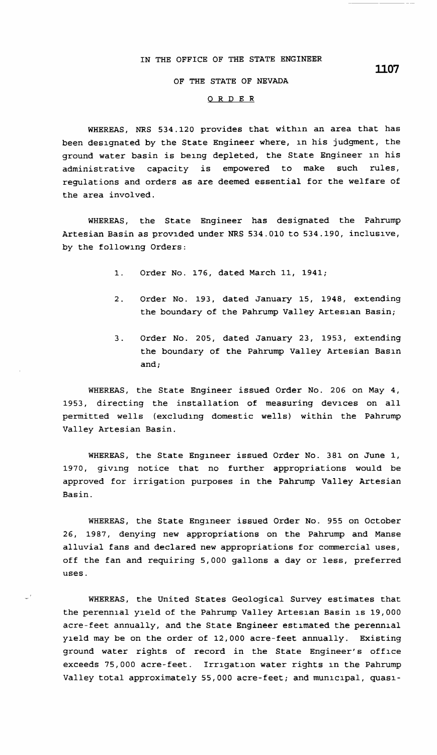## IN THE OFFICE OF THE STATE ENGINEER

## **OF THE STATE OF NEVADA**

## 0 R D **E R**

WHEREAS, NRS 534.120 provides that within an area that has been designated by the State Engineer where, in his judgment, the ground water basin is being depleted, the State Engineer in his administrative capacity is empowered to make such rules, regulations and orders as are deemed essential for the welfare of the area involved.

WHEREAS, the State Engineer has designated the Pahrump Artesian Basin as provided under NRS 534.010 to 534.190, inclusive, by the following Orders:

- 1. Order No. 176, dated March 11, 1941;
- 2. Order No. 193, dated January 15, 1948, extending the boundary of the Pahrump Valley Artesian Basin;
- 3. Order No. 205, dated January 23, 1953, extending the boundary of the Pahrump Valley Artesian Basin and;

WHEREAS, the State Engineer issued Order No. 206 on May 4, 1953, directing the installation of measuring devices on all permitted wells (excluding domestic wells) within the Pahrump Valley Artesian Basin.

WHEREAS, the State Engineer issued Order No. 381 on June 1, 1970, giving notice that no further appropriations would be approved for irrigation purposes in the Pahrump Valley Artesian Basin.

WHEREAS, the State Engineer issued Order No. 955 on October 26, 1987, denying new appropriations on the Pahrump and Manse alluvial fans and declared new appropriations for commercial uses, off the fan and requiring 5,000 gallons a day or less, preferred uses.

WHEREAS, the United States Geological Survey estimates that the perennial yield of the Pahrump Valley Artesian Basin is 19,000 acre-feet annually, and the State Engineer estimated the perennial yield may be on the order of 12,000 acre-feet annually. Existing ground water rights of record in the State Engineer's office exceeds 75,000 acre-feet. Irrigation water rights in the Pahrump Valley total approximately 55,000 acre-feet; and municipal, quasi-

**ll.07**